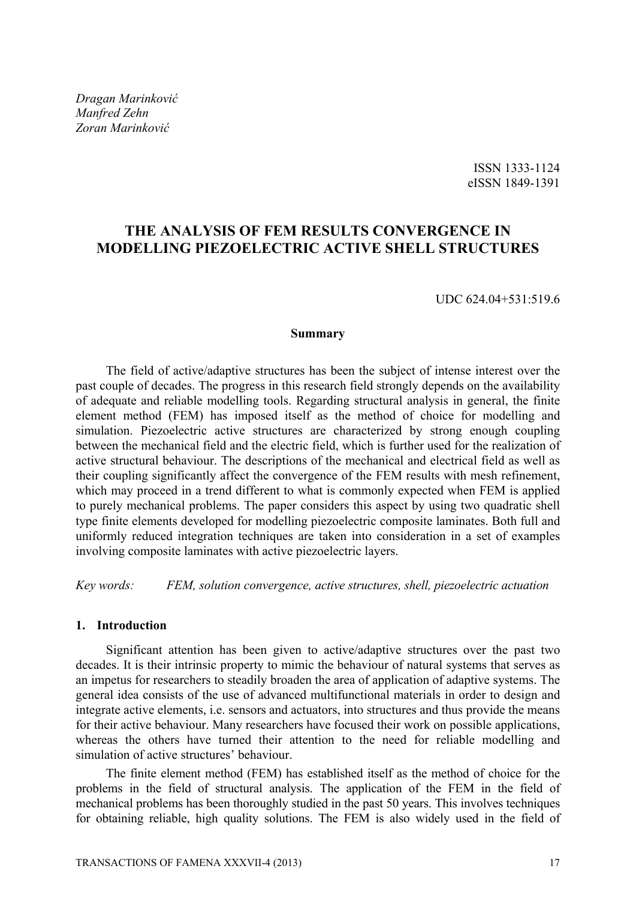*Dragan Marinković Manfred Zehn Zoran Marinković*

> ISSN 1333-1124 eISSN 1849-1391

# **THE ANALYSIS OF FEM RESULTS CONVERGENCE IN MODELLING PIEZOELECTRIC ACTIVE SHELL STRUCTURES**

UDC 624.04+531:519.6

### **Summary**

The field of active/adaptive structures has been the subject of intense interest over the past couple of decades. The progress in this research field strongly depends on the availability of adequate and reliable modelling tools. Regarding structural analysis in general, the finite element method (FEM) has imposed itself as the method of choice for modelling and simulation. Piezoelectric active structures are characterized by strong enough coupling between the mechanical field and the electric field, which is further used for the realization of active structural behaviour. The descriptions of the mechanical and electrical field as well as their coupling significantly affect the convergence of the FEM results with mesh refinement, which may proceed in a trend different to what is commonly expected when FEM is applied to purely mechanical problems. The paper considers this aspect by using two quadratic shell type finite elements developed for modelling piezoelectric composite laminates. Both full and uniformly reduced integration techniques are taken into consideration in a set of examples involving composite laminates with active piezoelectric layers.

*Key words: FEM, solution convergence, active structures, shell, piezoelectric actuation* 

# **1. Introduction**

Significant attention has been given to active/adaptive structures over the past two decades. It is their intrinsic property to mimic the behaviour of natural systems that serves as an impetus for researchers to steadily broaden the area of application of adaptive systems. The general idea consists of the use of advanced multifunctional materials in order to design and integrate active elements, i.e. sensors and actuators, into structures and thus provide the means for their active behaviour. Many researchers have focused their work on possible applications, whereas the others have turned their attention to the need for reliable modelling and simulation of active structures' behaviour.

The finite element method (FEM) has established itself as the method of choice for the problems in the field of structural analysis. The application of the FEM in the field of mechanical problems has been thoroughly studied in the past 50 years. This involves techniques for obtaining reliable, high quality solutions. The FEM is also widely used in the field of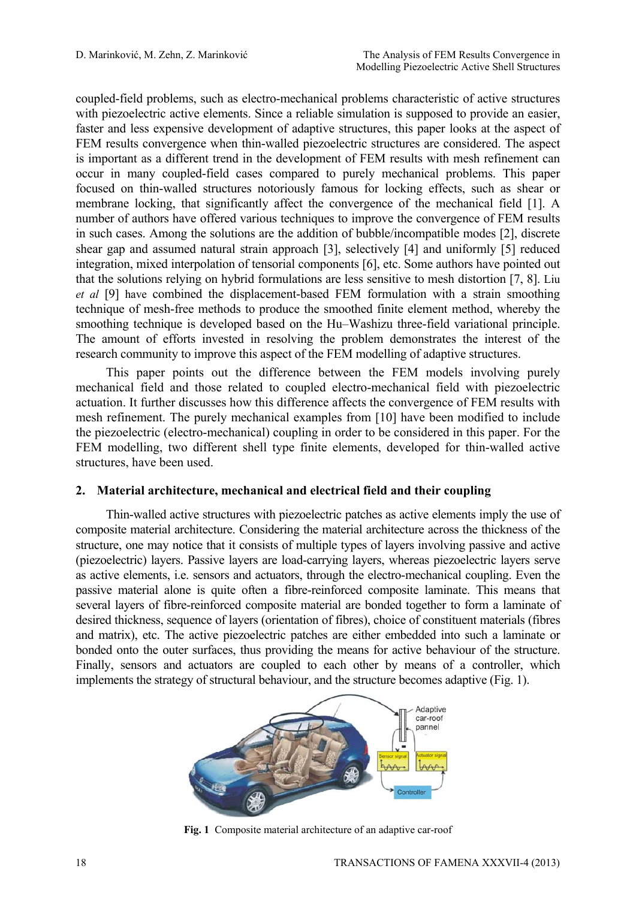coupled-field problems, such as electro-mechanical problems characteristic of active structures with piezoelectric active elements. Since a reliable simulation is supposed to provide an easier, faster and less expensive development of adaptive structures, this paper looks at the aspect of FEM results convergence when thin-walled piezoelectric structures are considered. The aspect is important as a different trend in the development of FEM results with mesh refinement can occur in many coupled-field cases compared to purely mechanical problems. This paper focused on thin-walled structures notoriously famous for locking effects, such as shear or membrane locking, that significantly affect the convergence of the mechanical field [1]. A number of authors have offered various techniques to improve the convergence of FEM results in such cases. Among the solutions are the addition of bubble/incompatible modes [2], discrete shear gap and assumed natural strain approach [3], selectively [4] and uniformly [5] reduced integration, mixed interpolation of tensorial components [6], etc. Some authors have pointed out that the solutions relying on hybrid formulations are less sensitive to mesh distortion [7, 8]. Liu *et al* [9] have combined the displacement-based FEM formulation with a strain smoothing technique of mesh-free methods to produce the smoothed finite element method, whereby the smoothing technique is developed based on the Hu–Washizu three-field variational principle. The amount of efforts invested in resolving the problem demonstrates the interest of the research community to improve this aspect of the FEM modelling of adaptive structures.

This paper points out the difference between the FEM models involving purely mechanical field and those related to coupled electro-mechanical field with piezoelectric actuation. It further discusses how this difference affects the convergence of FEM results with mesh refinement. The purely mechanical examples from [10] have been modified to include the piezoelectric (electro-mechanical) coupling in order to be considered in this paper. For the FEM modelling, two different shell type finite elements, developed for thin-walled active structures, have been used.

#### **2. Material architecture, mechanical and electrical field and their coupling**

Thin-walled active structures with piezoelectric patches as active elements imply the use of composite material architecture. Considering the material architecture across the thickness of the structure, one may notice that it consists of multiple types of layers involving passive and active (piezoelectric) layers. Passive layers are load-carrying layers, whereas piezoelectric layers serve as active elements, i.e. sensors and actuators, through the electro-mechanical coupling. Even the passive material alone is quite often a fibre-reinforced composite laminate. This means that several layers of fibre-reinforced composite material are bonded together to form a laminate of desired thickness, sequence of layers (orientation of fibres), choice of constituent materials (fibres and matrix), etc. The active piezoelectric patches are either embedded into such a laminate or bonded onto the outer surfaces, thus providing the means for active behaviour of the structure. Finally, sensors and actuators are coupled to each other by means of a controller, which implements the strategy of structural behaviour, and the structure becomes adaptive (Fig. 1).



**Fig. 1** Composite material architecture of an adaptive car-roof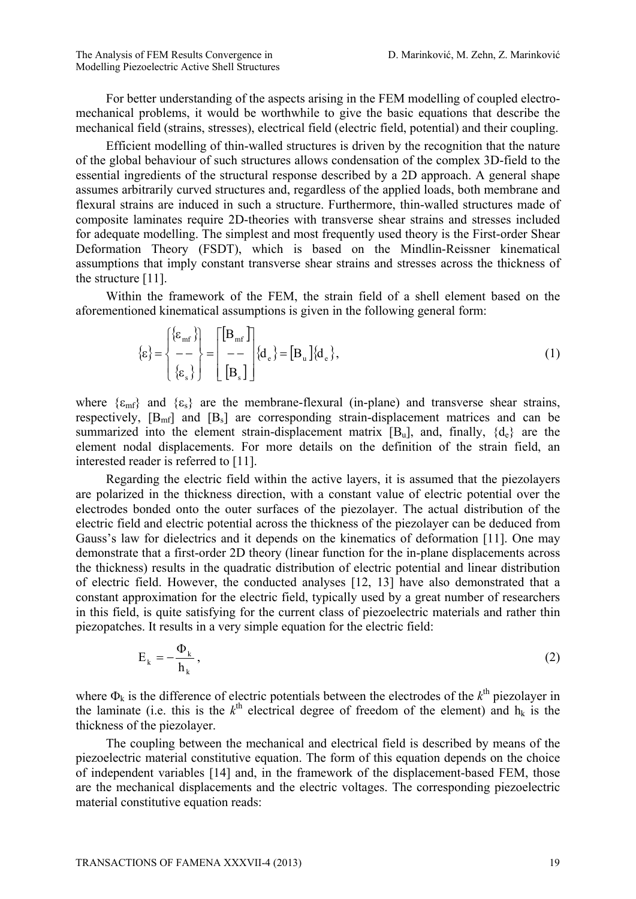For better understanding of the aspects arising in the FEM modelling of coupled electromechanical problems, it would be worthwhile to give the basic equations that describe the mechanical field (strains, stresses), electrical field (electric field, potential) and their coupling.

Efficient modelling of thin-walled structures is driven by the recognition that the nature of the global behaviour of such structures allows condensation of the complex 3D-field to the essential ingredients of the structural response described by a 2D approach. A general shape assumes arbitrarily curved structures and, regardless of the applied loads, both membrane and flexural strains are induced in such a structure. Furthermore, thin-walled structures made of composite laminates require 2D-theories with transverse shear strains and stresses included for adequate modelling. The simplest and most frequently used theory is the First-order Shear Deformation Theory (FSDT), which is based on the Mindlin-Reissner kinematical assumptions that imply constant transverse shear strains and stresses across the thickness of the structure [11].

Within the framework of the FEM, the strain field of a shell element based on the aforementioned kinematical assumptions is given in the following general form:

$$
\{\varepsilon\} = \begin{cases} {\{\varepsilon_{\rm mf}\}}\\ -\\ {\{\varepsilon_{\rm s}\}} \end{cases} = \begin{bmatrix} [\mathbf{B}_{\rm mf}] \\ -\\ [\mathbf{B}_{\rm s}] \end{bmatrix} \{ \mathbf{d}_{\rm e} \} = [\mathbf{B}_{\rm u}] \{ \mathbf{d}_{\rm e} \},\tag{1}
$$

where  $\{\varepsilon_{mf}\}\$  and  $\{\varepsilon_s\}\$  are the membrane-flexural (in-plane) and transverse shear strains, respectively,  $[B_{mf}]$  and  $[B_s]$  are corresponding strain-displacement matrices and can be summarized into the element strain-displacement matrix  $[B_u]$ , and, finally,  $\{d_e\}$  are the element nodal displacements. For more details on the definition of the strain field, an interested reader is referred to [11].

Regarding the electric field within the active layers, it is assumed that the piezolayers are polarized in the thickness direction, with a constant value of electric potential over the electrodes bonded onto the outer surfaces of the piezolayer. The actual distribution of the electric field and electric potential across the thickness of the piezolayer can be deduced from Gauss's law for dielectrics and it depends on the kinematics of deformation [11]. One may demonstrate that a first-order 2D theory (linear function for the in-plane displacements across the thickness) results in the quadratic distribution of electric potential and linear distribution of electric field. However, the conducted analyses [12, 13] have also demonstrated that a constant approximation for the electric field, typically used by a great number of researchers in this field, is quite satisfying for the current class of piezoelectric materials and rather thin piezopatches. It results in a very simple equation for the electric field:

$$
E_k = -\frac{\Phi_k}{h_k},\tag{2}
$$

where  $\Phi_k$  is the difference of electric potentials between the electrodes of the  $k^{\text{th}}$  piezolayer in the laminate (i.e. this is the  $k^{\text{th}}$  electrical degree of freedom of the element) and  $h_k$  is the thickness of the piezolayer.

The coupling between the mechanical and electrical field is described by means of the piezoelectric material constitutive equation. The form of this equation depends on the choice of independent variables [14] and, in the framework of the displacement-based FEM, those are the mechanical displacements and the electric voltages. The corresponding piezoelectric material constitutive equation reads: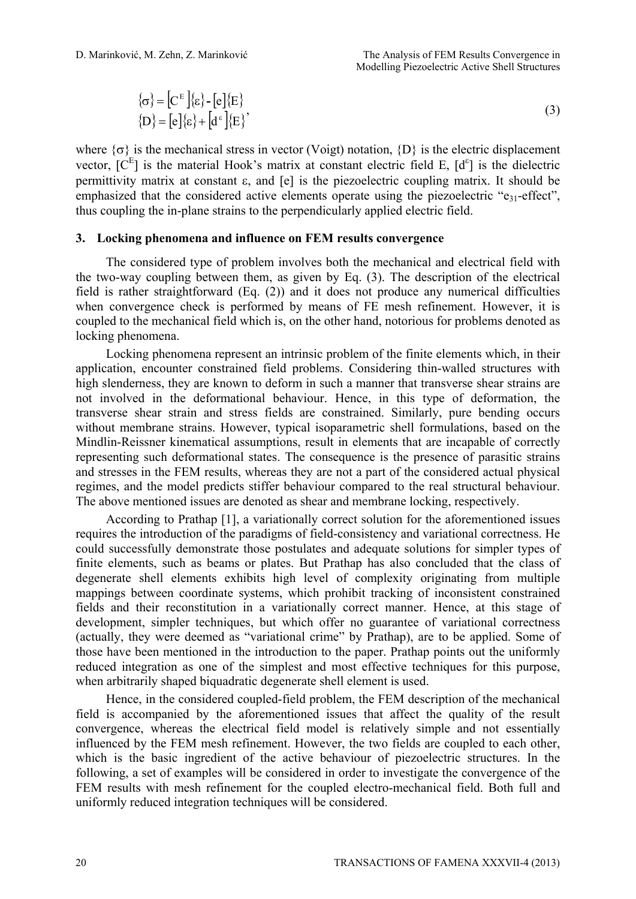$$
\{\sigma\} = [C^{E}|\{\varepsilon\} - [e]\{E\}
$$
  

$$
\{D\} = [e]\{\varepsilon\} + [d^{E}]\{E\}
$$
 (3)

where  $\{\sigma\}$  is the mechanical stress in vector (Voigt) notation,  $\{D\}$  is the electric displacement vector,  $[C^{E}]$  is the material Hook's matrix at constant electric field E,  $[d^{e}]$  is the dielectric permittivity matrix at constant  $\varepsilon$ , and  $\lceil e \rceil$  is the piezoelectric coupling matrix. It should be emphasized that the considered active elements operate using the piezoelectric "e<sub>31</sub>-effect", thus coupling the in-plane strains to the perpendicularly applied electric field.

#### **3. Locking phenomena and influence on FEM results convergence**

The considered type of problem involves both the mechanical and electrical field with the two-way coupling between them, as given by Eq. (3). The description of the electrical field is rather straightforward (Eq. (2)) and it does not produce any numerical difficulties when convergence check is performed by means of FE mesh refinement. However, it is coupled to the mechanical field which is, on the other hand, notorious for problems denoted as locking phenomena.

Locking phenomena represent an intrinsic problem of the finite elements which, in their application, encounter constrained field problems. Considering thin-walled structures with high slenderness, they are known to deform in such a manner that transverse shear strains are not involved in the deformational behaviour. Hence, in this type of deformation, the transverse shear strain and stress fields are constrained. Similarly, pure bending occurs without membrane strains. However, typical isoparametric shell formulations, based on the Mindlin-Reissner kinematical assumptions, result in elements that are incapable of correctly representing such deformational states. The consequence is the presence of parasitic strains and stresses in the FEM results, whereas they are not a part of the considered actual physical regimes, and the model predicts stiffer behaviour compared to the real structural behaviour. The above mentioned issues are denoted as shear and membrane locking, respectively.

According to Prathap [1], a variationally correct solution for the aforementioned issues requires the introduction of the paradigms of field-consistency and variational correctness. He could successfully demonstrate those postulates and adequate solutions for simpler types of finite elements, such as beams or plates. But Prathap has also concluded that the class of degenerate shell elements exhibits high level of complexity originating from multiple mappings between coordinate systems, which prohibit tracking of inconsistent constrained fields and their reconstitution in a variationally correct manner. Hence, at this stage of development, simpler techniques, but which offer no guarantee of variational correctness (actually, they were deemed as "variational crime" by Prathap), are to be applied. Some of those have been mentioned in the introduction to the paper. Prathap points out the uniformly reduced integration as one of the simplest and most effective techniques for this purpose, when arbitrarily shaped biquadratic degenerate shell element is used.

Hence, in the considered coupled-field problem, the FEM description of the mechanical field is accompanied by the aforementioned issues that affect the quality of the result convergence, whereas the electrical field model is relatively simple and not essentially influenced by the FEM mesh refinement. However, the two fields are coupled to each other, which is the basic ingredient of the active behaviour of piezoelectric structures. In the following, a set of examples will be considered in order to investigate the convergence of the FEM results with mesh refinement for the coupled electro-mechanical field. Both full and uniformly reduced integration techniques will be considered.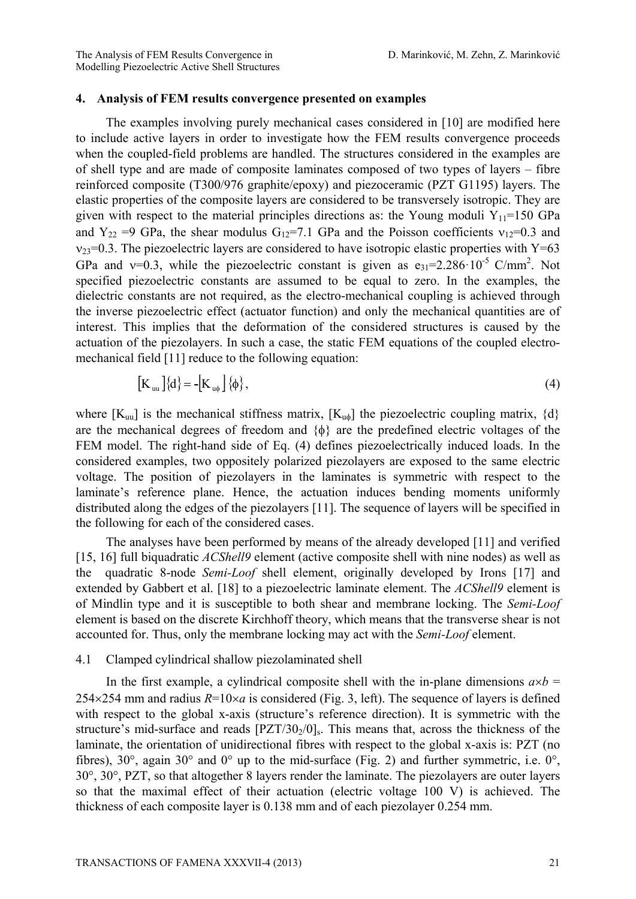#### **4. Analysis of FEM results convergence presented on examples**

The examples involving purely mechanical cases considered in [10] are modified here to include active layers in order to investigate how the FEM results convergence proceeds when the coupled-field problems are handled. The structures considered in the examples are of shell type and are made of composite laminates composed of two types of layers – fibre reinforced composite (T300/976 graphite/epoxy) and piezoceramic (PZT G1195) layers. The elastic properties of the composite layers are considered to be transversely isotropic. They are given with respect to the material principles directions as: the Young moduli  $Y_{11}=150$  GPa and Y<sub>22</sub> =9 GPa, the shear modulus G<sub>12</sub>=7.1 GPa and the Poisson coefficients  $v_{12}=0.3$  and  $v_{23}=0.3$ . The piezoelectric layers are considered to have isotropic elastic properties with Y=63 GPa and  $v=0.3$ , while the piezoelectric constant is given as  $e_{31}=2.286 \cdot 10^{-5}$  C/mm<sup>2</sup>. Not specified piezoelectric constants are assumed to be equal to zero. In the examples, the dielectric constants are not required, as the electro-mechanical coupling is achieved through the inverse piezoelectric effect (actuator function) and only the mechanical quantities are of interest. This implies that the deformation of the considered structures is caused by the actuation of the piezolayers. In such a case, the static FEM equations of the coupled electromechanical field [11] reduce to the following equation:

$$
\left[\mathbf{K}_{\mathbf{u}\mathbf{u}}\right]\left\{\mathbf{d}\right\} = -\left[\mathbf{K}_{\mathbf{u}\phi}\right]\left\{\phi\right\},\tag{4}
$$

where  $[K_{uu}]$  is the mechanical stiffness matrix,  $[K_{u0}]$  the piezoelectric coupling matrix,  $\{d\}$ are the mechanical degrees of freedom and  $\{\phi\}$  are the predefined electric voltages of the FEM model. The right-hand side of Eq. (4) defines piezoelectrically induced loads. In the considered examples, two oppositely polarized piezolayers are exposed to the same electric voltage. The position of piezolayers in the laminates is symmetric with respect to the laminate's reference plane. Hence, the actuation induces bending moments uniformly distributed along the edges of the piezolayers [11]. The sequence of layers will be specified in the following for each of the considered cases.

The analyses have been performed by means of the already developed [11] and verified [15, 16] full biquadratic *ACShell9* element (active composite shell with nine nodes) as well as the quadratic 8-node *Semi-Loof* shell element, originally developed by Irons [17] and extended by Gabbert et al. [18] to a piezoelectric laminate element. The *ACShell9* element is of Mindlin type and it is susceptible to both shear and membrane locking. The *Semi-Loof* element is based on the discrete Kirchhoff theory, which means that the transverse shear is not accounted for. Thus, only the membrane locking may act with the *Semi-Loof* element.

# 4.1 Clamped cylindrical shallow piezolaminated shell

In the first example, a cylindrical composite shell with the in-plane dimensions  $a \times b =$  $254 \times 254$  mm and radius  $R=10 \times a$  is considered (Fig. 3, left). The sequence of layers is defined with respect to the global x-axis (structure's reference direction). It is symmetric with the structure's mid-surface and reads  $[PZT/30/0]_s$ . This means that, across the thickness of the laminate, the orientation of unidirectional fibres with respect to the global x-axis is: PZT (no fibres),  $30^{\circ}$ , again  $30^{\circ}$  and  $0^{\circ}$  up to the mid-surface (Fig. 2) and further symmetric, i.e.  $0^{\circ}$ , 30°, 30°, PZT, so that altogether 8 layers render the laminate. The piezolayers are outer layers so that the maximal effect of their actuation (electric voltage 100 V) is achieved. The thickness of each composite layer is 0.138 mm and of each piezolayer 0.254 mm.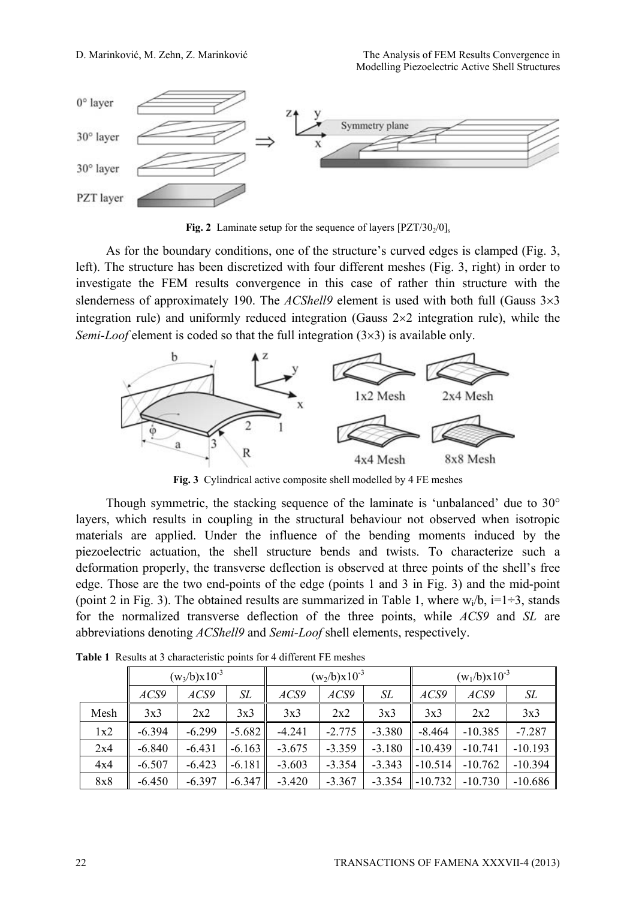

**Fig. 2** Laminate setup for the sequence of layers  $[PZT/30<sub>2</sub>/0]$ <sub>s</sub>

As for the boundary conditions, one of the structure's curved edges is clamped (Fig. 3, left). The structure has been discretized with four different meshes (Fig. 3, right) in order to investigate the FEM results convergence in this case of rather thin structure with the slenderness of approximately 190. The *ACShell9* element is used with both full (Gauss  $3\times3$ integration rule) and uniformly reduced integration (Gauss  $2\times 2$  integration rule), while the *Semi-Loof* element is coded so that the full integration  $(3\times3)$  is available only.



**Fig. 3** Cylindrical active composite shell modelled by 4 FE meshes

Though symmetric, the stacking sequence of the laminate is 'unbalanced' due to 30° layers, which results in coupling in the structural behaviour not observed when isotropic materials are applied. Under the influence of the bending moments induced by the piezoelectric actuation, the shell structure bends and twists. To characterize such a deformation properly, the transverse deflection is observed at three points of the shell's free edge. Those are the two end-points of the edge (points 1 and 3 in Fig. 3) and the mid-point (point 2 in Fig. 3). The obtained results are summarized in Table 1, where  $w_i/b$ , i=1÷3, stands for the normalized transverse deflection of the three points, while *ACS9* and *SL* are abbreviations denoting *ACShell9* and *Semi-Loof* shell elements, respectively.

|      | $(w_3/b)x10^{-3}$ |          |          | $(w_2/b)x10^{-3}$ |          |          | $(w_1/b)x10^{-3}$ |           |           |
|------|-------------------|----------|----------|-------------------|----------|----------|-------------------|-----------|-----------|
|      | ACS9              | ACS9     | SL       | ACS9              | ACS9     | SL       | ACS9              | ACS9      | SL        |
| Mesh | 3x3               | 2x2      | 3x3      | 3x3               | 2x2      | 3x3      | 3x3               | 2x2       | 3x3       |
| 1x2  | $-6.394$          | $-6.299$ | $-5.682$ | $-4.241$          | $-2.775$ | $-3.380$ | $-8.464$          | $-10.385$ | $-7.287$  |
| 2x4  | $-6.840$          | $-6.431$ | $-6.163$ | $-3.675$          | $-3.359$ | $-3.180$ | $-10.439$         | $-10.741$ | $-10.193$ |
| 4x4  | $-6.507$          | $-6.423$ | $-6.181$ | $-3.603$          | $-3.354$ | $-3.343$ | $-10.514$         | $-10.762$ | $-10.394$ |
| 8x8  | $-6.450$          | $-6.397$ | $-6.347$ | $-3.420$          | $-3.367$ | $-3.354$ | $-10.732$         | $-10.730$ | $-10.686$ |

**Table 1** Results at 3 characteristic points for 4 different FE meshes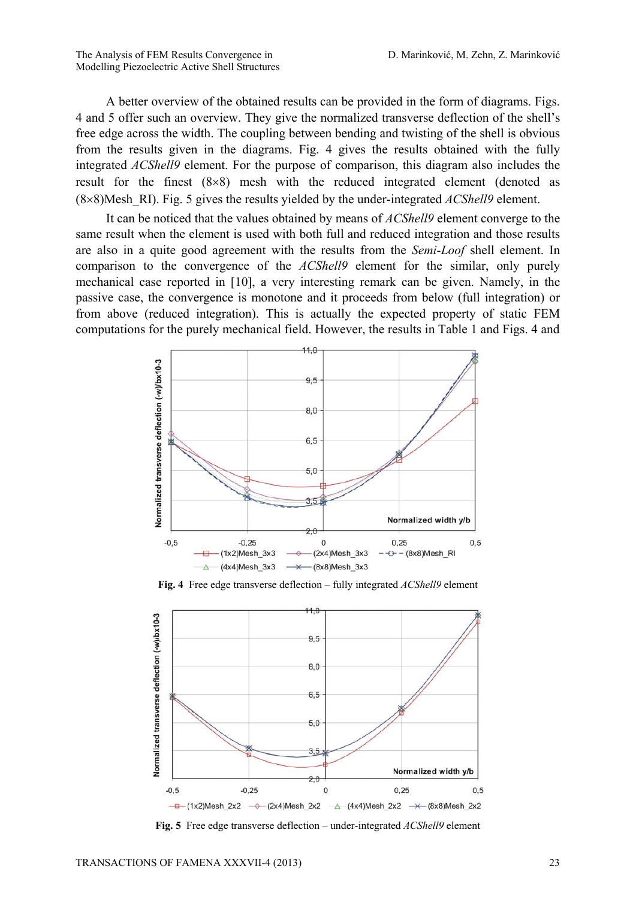A better overview of the obtained results can be provided in the form of diagrams. Figs. 4 and 5 offer such an overview. They give the normalized transverse deflection of the shell's free edge across the width. The coupling between bending and twisting of the shell is obvious from the results given in the diagrams. Fig. 4 gives the results obtained with the fully integrated *ACShell9* element. For the purpose of comparison, this diagram also includes the result for the finest  $(8\times8)$  mesh with the reduced integrated element (denoted as  $(8\times8)$ Mesh RI). Fig. 5 gives the results yielded by the under-integrated *ACShell9* element.

It can be noticed that the values obtained by means of *ACShell9* element converge to the same result when the element is used with both full and reduced integration and those results are also in a quite good agreement with the results from the *Semi-Loof* shell element. In comparison to the convergence of the *ACShell9* element for the similar, only purely mechanical case reported in [10], a very interesting remark can be given. Namely, in the passive case, the convergence is monotone and it proceeds from below (full integration) or from above (reduced integration). This is actually the expected property of static FEM computations for the purely mechanical field. However, the results in Table 1 and Figs. 4 and



**Fig. 4** Free edge transverse deflection – fully integrated *ACShell9* element



**Fig. 5** Free edge transverse deflection – under-integrated *ACShell9* element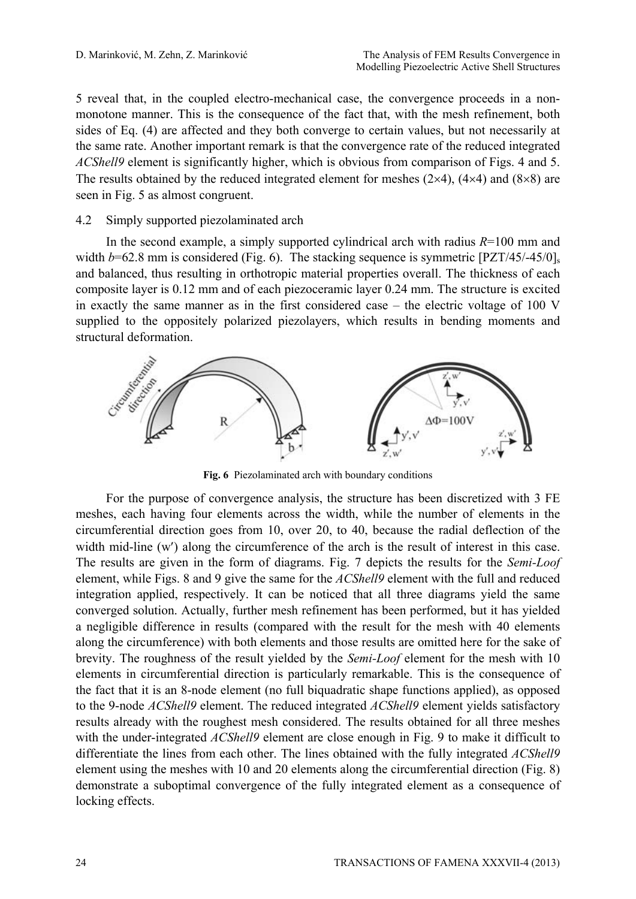5 reveal that, in the coupled electro-mechanical case, the convergence proceeds in a nonmonotone manner. This is the consequence of the fact that, with the mesh refinement, both sides of Eq. (4) are affected and they both converge to certain values, but not necessarily at the same rate. Another important remark is that the convergence rate of the reduced integrated *ACShell9* element is significantly higher, which is obvious from comparison of Figs. 4 and 5. The results obtained by the reduced integrated element for meshes  $(2\times4)$ ,  $(4\times4)$  and  $(8\times8)$  are seen in Fig. 5 as almost congruent.

# 4.2 Simply supported piezolaminated arch

In the second example, a simply supported cylindrical arch with radius  $R=100$  mm and width  $b=62.8$  mm is considered (Fig. 6). The stacking sequence is symmetric  $[PZT/45/-45/0]_s$ and balanced, thus resulting in orthotropic material properties overall. The thickness of each composite layer is 0.12 mm and of each piezoceramic layer 0.24 mm. The structure is excited in exactly the same manner as in the first considered case – the electric voltage of 100 V supplied to the oppositely polarized piezolayers, which results in bending moments and structural deformation.



**Fig. 6** Piezolaminated arch with boundary conditions

For the purpose of convergence analysis, the structure has been discretized with 3 FE meshes, each having four elements across the width, while the number of elements in the circumferential direction goes from 10, over 20, to 40, because the radial deflection of the width mid-line (w') along the circumference of the arch is the result of interest in this case. The results are given in the form of diagrams. Fig. 7 depicts the results for the *Semi-Loof* element, while Figs. 8 and 9 give the same for the *ACShell9* element with the full and reduced integration applied, respectively. It can be noticed that all three diagrams yield the same converged solution. Actually, further mesh refinement has been performed, but it has yielded a negligible difference in results (compared with the result for the mesh with 40 elements along the circumference) with both elements and those results are omitted here for the sake of brevity. The roughness of the result yielded by the *Semi-Loof* element for the mesh with 10 elements in circumferential direction is particularly remarkable. This is the consequence of the fact that it is an 8-node element (no full biquadratic shape functions applied), as opposed to the 9-node *ACShell9* element. The reduced integrated *ACShell9* element yields satisfactory results already with the roughest mesh considered. The results obtained for all three meshes with the under-integrated *ACShell9* element are close enough in Fig. 9 to make it difficult to differentiate the lines from each other. The lines obtained with the fully integrated *ACShell9*  element using the meshes with 10 and 20 elements along the circumferential direction (Fig. 8) demonstrate a suboptimal convergence of the fully integrated element as a consequence of locking effects.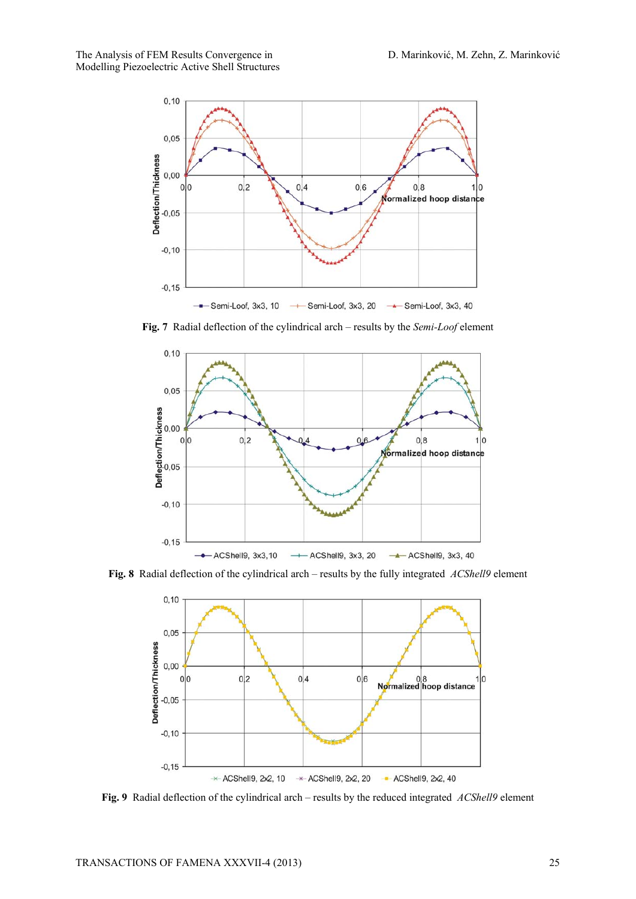

**Fig. 7** Radial deflection of the cylindrical arch – results by the *Semi-Loof* element



**Fig. 8** Radial deflection of the cylindrical arch – results by the fully integrated *ACShell9* element



**Fig. 9** Radial deflection of the cylindrical arch – results by the reduced integrated *ACShell9* element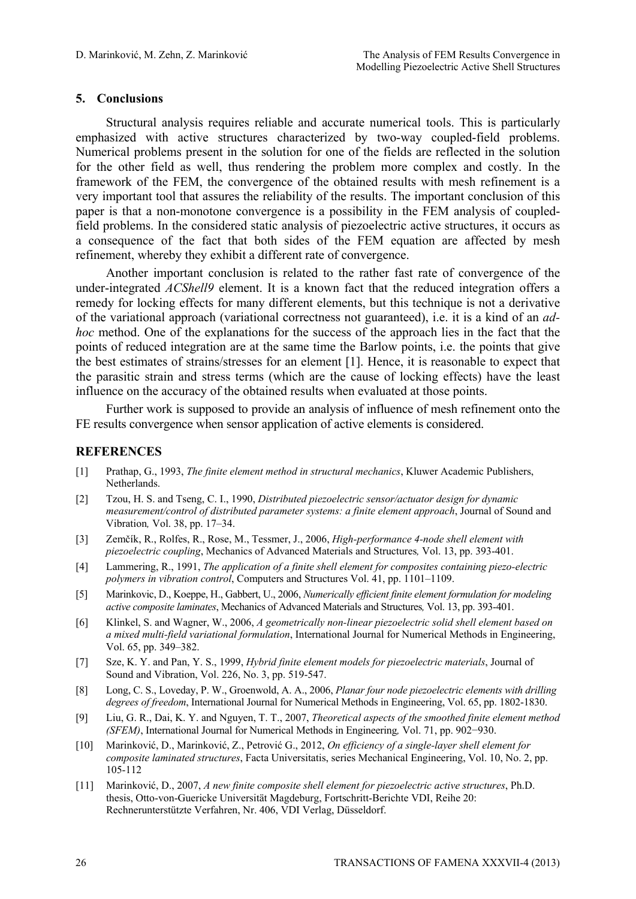# **5. Conclusions**

Structural analysis requires reliable and accurate numerical tools. This is particularly emphasized with active structures characterized by two-way coupled-field problems. Numerical problems present in the solution for one of the fields are reflected in the solution for the other field as well, thus rendering the problem more complex and costly. In the framework of the FEM, the convergence of the obtained results with mesh refinement is a very important tool that assures the reliability of the results. The important conclusion of this paper is that a non-monotone convergence is a possibility in the FEM analysis of coupledfield problems. In the considered static analysis of piezoelectric active structures, it occurs as a consequence of the fact that both sides of the FEM equation are affected by mesh refinement, whereby they exhibit a different rate of convergence.

Another important conclusion is related to the rather fast rate of convergence of the under-integrated *ACShell9* element. It is a known fact that the reduced integration offers a remedy for locking effects for many different elements, but this technique is not a derivative of the variational approach (variational correctness not guaranteed), i.e. it is a kind of an *adhoc* method. One of the explanations for the success of the approach lies in the fact that the points of reduced integration are at the same time the Barlow points, i.e. the points that give the best estimates of strains/stresses for an element [1]. Hence, it is reasonable to expect that the parasitic strain and stress terms (which are the cause of locking effects) have the least influence on the accuracy of the obtained results when evaluated at those points.

Further work is supposed to provide an analysis of influence of mesh refinement onto the FE results convergence when sensor application of active elements is considered.

### **REFERENCES**

- [1] Prathap, G., 1993, *The finite element method in structural mechanics*, Kluwer Academic Publishers, Netherlands.
- [2] Tzou, H. S. and Tseng, C. I., 1990, *Distributed piezoelectric sensor/actuator design for dynamic measurement/control of distributed parameter systems: a finite element approach*, Journal of Sound and Vibration*,* Vol. 38, pp. 17–34.
- [3] Zemčík, R., Rolfes, R., Rose, M., Tessmer, J., 2006, *High-performance 4-node shell element with piezoelectric coupling*, Mechanics of Advanced Materials and Structures*,* Vol. 13, pp. 393-401.
- [4] Lammering, R., 1991, *The application of a finite shell element for composites containing piezo-electric polymers in vibration control*, Computers and Structures Vol. 41, pp. 1101–1109.
- [5] Marinkovic, D., Koeppe, H., Gabbert, U., 2006, *Numerically efficient finite element formulation for modeling active composite laminates*, Mechanics of Advanced Materials and Structures*,* Vol. 13, pp. 393-401.
- [6] Klinkel, S. and Wagner, W., 2006, *A geometrically non-linear piezoelectric solid shell element based on a mixed multi-field variational formulation*, International Journal for Numerical Methods in Engineering, Vol. 65, pp. 349–382.
- [7] Sze, K. Y. and Pan, Y. S., 1999, *Hybrid finite element models for piezoelectric materials*, Journal of Sound and Vibration, Vol. 226, No. 3, pp. 519-547.
- [8] Long, C. S., Loveday, P. W., Groenwold, A. A., 2006, *Planar four node piezoelectric elements with drilling degrees of freedom*, International Journal for Numerical Methods in Engineering, Vol. 65, pp. 1802-1830.
- [9] Liu, G. R., Dai, K. Y. and Nguyen, T. T., 2007, *Theoretical aspects of the smoothed finite element method (SFEM)*, International Journal for Numerical Methods in Engineering*,* Vol. 71, pp. 902−930.
- [10] Marinković, D., Marinković, Z., Petrović G., 2012, *On efficiency of a single-layer shell element for composite laminated structures*, Facta Universitatis, series Mechanical Engineering, Vol. 10, No. 2, pp. 105-112
- [11] Marinković, D., 2007, *A new finite composite shell element for piezoelectric active structures*, Ph.D. thesis, Otto-von-Guericke Universität Magdeburg, Fortschritt-Berichte VDI, Reihe 20: Rechnerunterstützte Verfahren, Nr. 406, VDI Verlag, Düsseldorf.